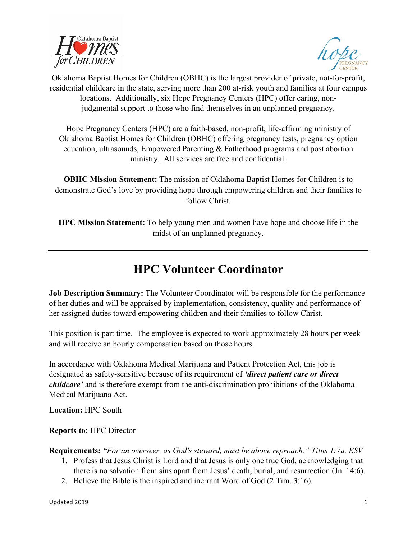



Oklahoma Baptist Homes for Children (OBHC) is the largest provider of private, not-for-profit, residential childcare in the state, serving more than 200 at-risk youth and families at four campus locations. Additionally, six Hope Pregnancy Centers (HPC) offer caring, nonjudgmental support to those who find themselves in an unplanned pregnancy.

Hope Pregnancy Centers (HPC) are a faith-based, non-profit, life-affirming ministry of Oklahoma Baptist Homes for Children (OBHC) offering pregnancy tests, pregnancy option education, ultrasounds, Empowered Parenting & Fatherhood programs and post abortion ministry. All services are free and confidential.

**OBHC Mission Statement:** The mission of Oklahoma Baptist Homes for Children is to demonstrate God's love by providing hope through empowering children and their families to follow Christ.

**HPC Mission Statement:** To help young men and women have hope and choose life in the midst of an unplanned pregnancy.

## **HPC Volunteer Coordinator**

**Job Description Summary:** The Volunteer Coordinator will be responsible for the performance of her duties and will be appraised by implementation, consistency, quality and performance of her assigned duties toward empowering children and their families to follow Christ.

This position is part time. The employee is expected to work approximately 28 hours per week and will receive an hourly compensation based on those hours.

In accordance with Oklahoma Medical Marijuana and Patient Protection Act, this job is designated as safety-sensitive because of its requirement of *'direct patient care or direct childcare'* and is therefore exempt from the anti-discrimination prohibitions of the Oklahoma Medical Marijuana Act.

**Location:** HPC South

**Reports to:** HPC Director

**Requirements:** *"For an overseer, as God's steward, must be above reproach." Titus 1:7a, ESV* 

- 1. Profess that Jesus Christ is Lord and that Jesus is only one true God, acknowledging that there is no salvation from sins apart from Jesus' death, burial, and resurrection (Jn. 14:6).
- 2. Believe the Bible is the inspired and inerrant Word of God (2 Tim. 3:16).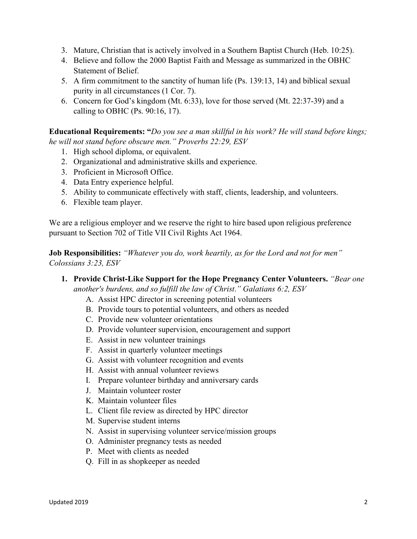- 3. Mature, Christian that is actively involved in a Southern Baptist Church (Heb. 10:25).
- 4. Believe and follow the 2000 Baptist Faith and Message as summarized in the OBHC Statement of Belief.
- 5. A firm commitment to the sanctity of human life (Ps. 139:13, 14) and biblical sexual purity in all circumstances (1 Cor. 7).
- 6. Concern for God's kingdom (Mt. 6:33), love for those served (Mt. 22:37-39) and a calling to OBHC (Ps.  $90:16$ , 17).

**Educational Requirements: "***Do you see a man skillful in his work? He will stand before kings; he will not stand before obscure men." Proverbs 22:29, ESV*

- 1. High school diploma, or equivalent.
- 2. Organizational and administrative skills and experience.
- 3. Proficient in Microsoft Office.
- 4. Data Entry experience helpful.
- 5. Ability to communicate effectively with staff, clients, leadership, and volunteers.
- 6. Flexible team player.

We are a religious employer and we reserve the right to hire based upon religious preference pursuant to Section 702 of Title VII Civil Rights Act 1964.

**Job Responsibilities:** *"Whatever you do, work heartily, as for the Lord and not for men" Colossians 3:23, ESV*

- **1. Provide Christ-Like Support for the Hope Pregnancy Center Volunteers.** *"Bear one another's burdens, and so fulfill the law of Christ*.*" Galatians 6:2, ESV*
	- A. Assist HPC director in screening potential volunteers
	- B. Provide tours to potential volunteers, and others as needed
	- C. Provide new volunteer orientations
	- D. Provide volunteer supervision, encouragement and support
	- E. Assist in new volunteer trainings
	- F. Assist in quarterly volunteer meetings
	- G. Assist with volunteer recognition and events
	- H. Assist with annual volunteer reviews
	- I. Prepare volunteer birthday and anniversary cards
	- J. Maintain volunteer roster
	- K. Maintain volunteer files
	- L. Client file review as directed by HPC director
	- M. Supervise student interns
	- N. Assist in supervising volunteer service/mission groups
	- O. Administer pregnancy tests as needed
	- P. Meet with clients as needed
	- Q. Fill in as shopkeeper as needed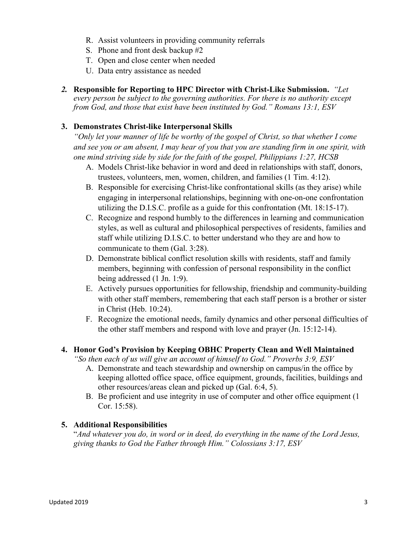- R. Assist volunteers in providing community referrals
- S. Phone and front desk backup #2
- T. Open and close center when needed
- U. Data entry assistance as needed
- *2.* **Responsible for Reporting to HPC Director with Christ-Like Submission.** *"Let every person be subject to the governing authorities. For there is no authority except from God, and those that exist have been instituted by God." Romans 13:1, ESV*

## **3. Demonstrates Christ-like Interpersonal Skills**

*"Only let your manner of life be worthy of the gospel of Christ, so that whether I come and see you or am absent, I may hear of you that you are standing firm in one spirit, with one mind striving side by side for the faith of the gospel, Philippians 1:27, HCSB*

- A. Models Christ-like behavior in word and deed in relationships with staff, donors, trustees, volunteers, men, women, children, and families (1 Tim. 4:12).
- B. Responsible for exercising Christ-like confrontational skills (as they arise) while engaging in interpersonal relationships, beginning with one-on-one confrontation utilizing the D.I.S.C. profile as a guide for this confrontation (Mt. 18:15-17).
- C. Recognize and respond humbly to the differences in learning and communication styles, as well as cultural and philosophical perspectives of residents, families and staff while utilizing D.I.S.C. to better understand who they are and how to communicate to them (Gal. 3:28).
- D. Demonstrate biblical conflict resolution skills with residents, staff and family members, beginning with confession of personal responsibility in the conflict being addressed (1 Jn. 1:9).
- E. Actively pursues opportunities for fellowship, friendship and community-building with other staff members, remembering that each staff person is a brother or sister in Christ (Heb. 10:24).
- F. Recognize the emotional needs, family dynamics and other personal difficulties of the other staff members and respond with love and prayer (Jn. 15:12-14).

## **4. Honor God's Provision by Keeping OBHC Property Clean and Well Maintained**

*"So then each of us will give an account of himself to God." Proverbs 3:9, ESV*

- A. Demonstrate and teach stewardship and ownership on campus/in the office by keeping allotted office space, office equipment, grounds, facilities, buildings and other resources/areas clean and picked up (Gal. 6:4, 5).
- B. Be proficient and use integrity in use of computer and other office equipment (1 Cor. 15:58).

## **5. Additional Responsibilities**

"*And whatever you do, in word or in deed, do everything in the name of the Lord Jesus, giving thanks to God the Father through Him." Colossians 3:17, ESV*